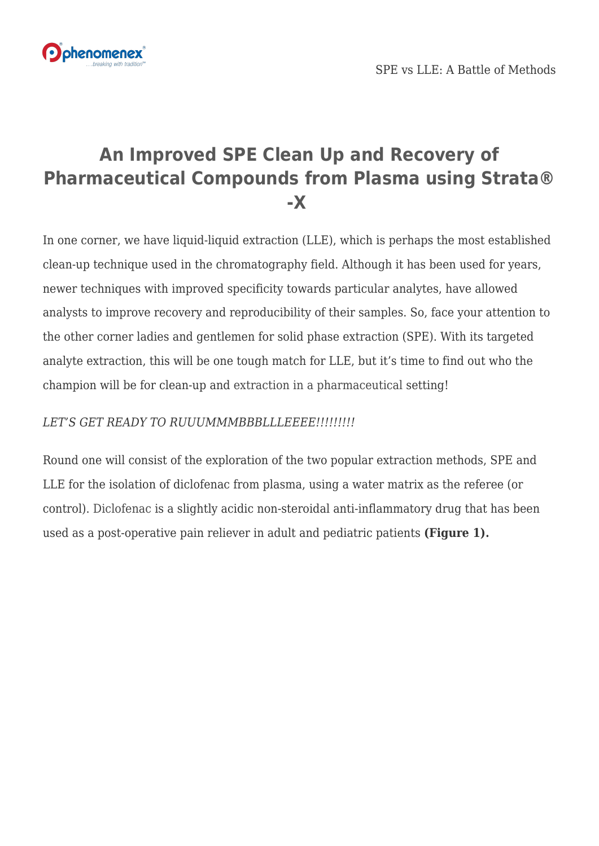

# **An Improved SPE Clean Up and Recovery of Pharmaceutical Compounds from Plasma using Strata® -X**

In one corner, we have liquid-liquid extraction (LLE), which is perhaps the most established clean-up technique used in the chromatography field. Although it has been used for years, newer techniques with improved specificity towards particular analytes, have allowed analysts to improve recovery and reproducibility of their samples. So, face your attention to the other corner ladies and gentlemen for solid phase extraction (SPE). With its targeted analyte extraction, this will be one tough match for LLE, but it's time to find out who the champion will be for clean-up and [extraction in a pharmaceutical](https://www.phenomenex.com/Home/IndustryPharma?utm_campaign=improved_clean_up_plasma&utm_source=blog&utm_medium=referral&utm_content=pharma) setting!

# *LET'S GET READY TO RUUUMMMBBBLLLEEEE!!!!!!!!!*

Round one will consist of the exploration of the two popular extraction methods, SPE and LLE for the isolation of diclofenac from plasma, using a water matrix as the referee (or control). [Diclofenac](https://www.phenomenex.com/Application/Detail/19701?utm_campaign=improved_clean_up_plasma&utm_source=blog&utm_medium=referral&utm_content=diclofenac) is a slightly acidic non-steroidal anti-inflammatory drug that has been used as a post-operative pain reliever in adult and pediatric patients **(Figure 1).**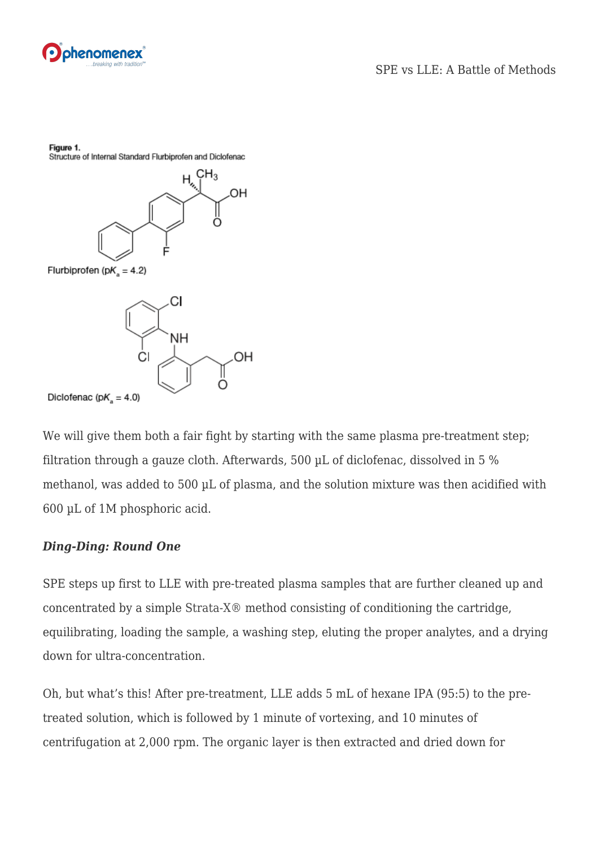

Figure 1.

Structure of Internal Standard Flurbiprofen and Diclofenac



Diclofenac (p $K_a = 4.0$ )

We will give them both a fair fight by starting with the same plasma pre-treatment step; filtration through a gauze cloth. Afterwards, 500 µL of diclofenac, dissolved in 5 % methanol, was added to 500 µL of plasma, and the solution mixture was then acidified with 600 µL of 1M phosphoric acid.

#### *Ding-Ding: Round One*

SPE steps up first to LLE with pre-treated plasma samples that are further cleaned up and concentrated by a simple [Strata-X® m](https://www.phenomenex.com/Products/SPDetail/Strata-X?utm_campaign=improved_clean_up_plasma&utm_source=blog&utm_medium=referral&utm_content=strata_x)ethod consisting of conditioning the cartridge, equilibrating, loading the sample, a washing step, eluting the proper analytes, and a drying down for ultra-concentration.

Oh, but what's this! After pre-treatment, LLE adds 5 mL of hexane IPA (95:5) to the pretreated solution, which is followed by 1 minute of vortexing, and 10 minutes of centrifugation at 2,000 rpm. The organic layer is then extracted and dried down for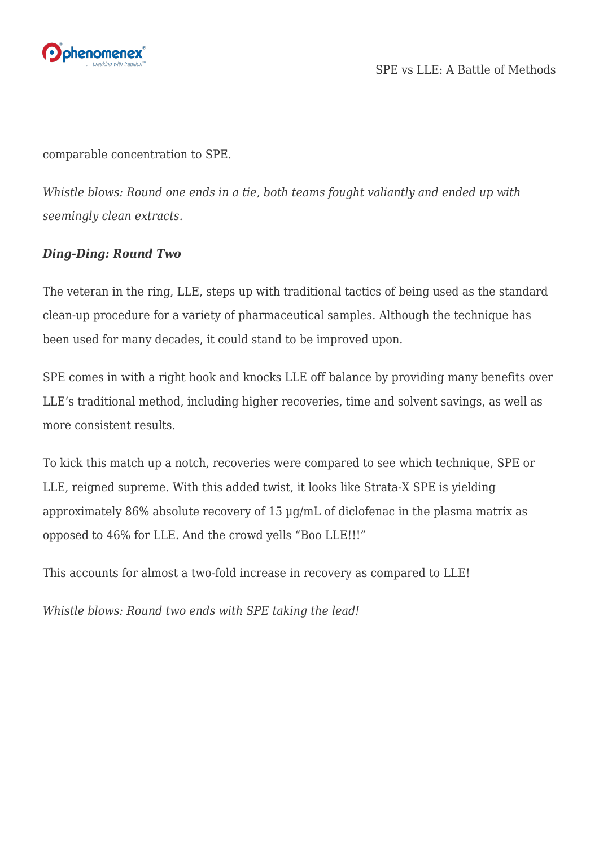

comparable concentration to SPE.

*Whistle blows: Round one ends in a tie, both teams fought valiantly and ended up with seemingly clean extracts.*

## *Ding-Ding: Round Two*

The veteran in the ring, LLE, steps up with traditional tactics of being used as the standard clean-up procedure for a variety of pharmaceutical samples. Although the technique has been used for many decades, it could stand to be improved upon.

SPE comes in with a right hook and knocks LLE off balance by providing many benefits over LLE's traditional method, including higher recoveries, time and solvent savings, as well as more consistent results.

To kick this match up a notch, recoveries were compared to see which technique, SPE or LLE, reigned supreme. With this added twist, it looks like Strata-X SPE is yielding approximately 86% absolute recovery of 15 µg/mL of diclofenac in the plasma matrix as opposed to 46% for LLE. And the crowd yells "Boo LLE!!!"

This accounts for almost a two-fold increase in recovery as compared to LLE!

*Whistle blows: Round two ends with SPE taking the lead!*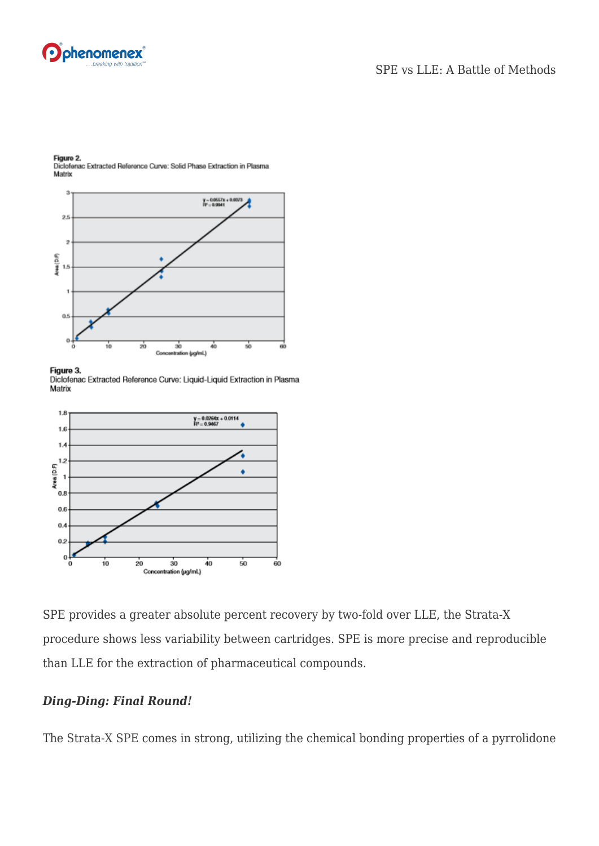



Figure 2. Diclofenac Extracted Reference Curve: Solid Phase Extraction in Plasma Matrix

#### Figure 3.

Diclofenac Extracted Reference Curve: Liquid-Liquid Extraction in Plasma Matrix



SPE provides a greater absolute percent recovery by two-fold over LLE, the Strata-X procedure shows less variability between cartridges. SPE is more precise and reproducible than LLE for the extraction of pharmaceutical compounds.

#### *Ding-Ding: Final Round!*

The [Strata-X SPE](https://www.phenomenex.com/Products/SPDetail/Strata-X?utm_campaign=improved_clean_up_plasma&utm_source=blog&utm_medium=referral&utm_content=strata_x) comes in strong, utilizing the chemical bonding properties of a pyrrolidone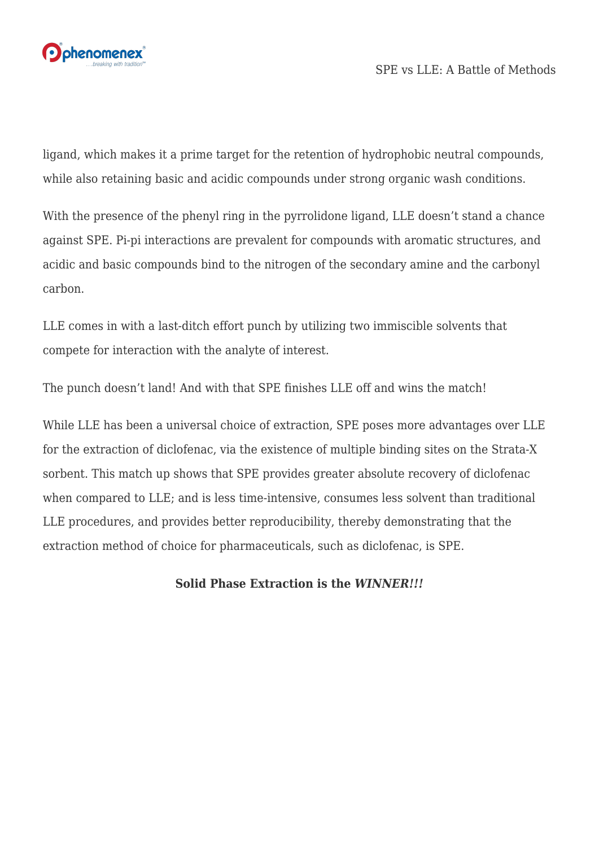

ligand, which makes it a prime target for the retention of hydrophobic neutral compounds, while also retaining basic and acidic compounds under strong organic wash conditions.

With the presence of the phenyl ring in the pyrrolidone ligand, LLE doesn't stand a chance against SPE. Pi-pi interactions are prevalent for compounds with aromatic structures, and acidic and basic compounds bind to the nitrogen of the secondary amine and the carbonyl carbon.

LLE comes in with a last-ditch effort punch by utilizing two immiscible solvents that compete for interaction with the analyte of interest.

The punch doesn't land! And with that SPE finishes LLE off and wins the match!

While LLE has been a universal choice of extraction, SPE poses more advantages over LLE for the extraction of diclofenac, via the existence of multiple binding sites on the Strata-X sorbent. This match up shows that SPE provides greater absolute recovery of diclofenac when compared to LLE; and is less time-intensive, consumes less solvent than traditional LLE procedures, and provides better reproducibility, thereby demonstrating that the extraction method of choice for pharmaceuticals, such as diclofenac, is SPE.

### **Solid Phase Extraction is the** *WINNER!!!*